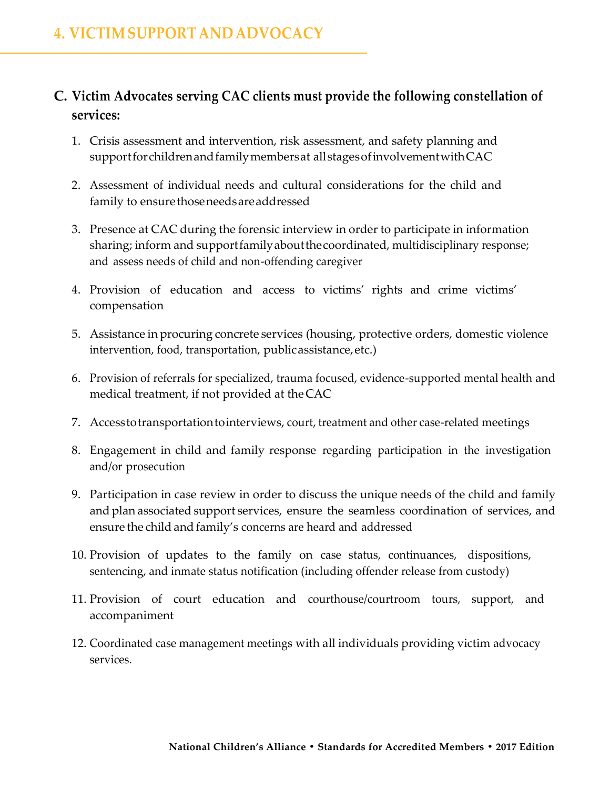## **C. Victim Advocates serving CAC clients must provide the following constellation of services:**

- 1. Crisis assessment and intervention, risk assessment, and safety planning and supportforchildrenandfamilymembersat allstagesofinvolvementwithCAC
- 2. Assessment of individual needs and cultural considerations for the child and family to ensure those needs are addressed
- 3. Presence at CAC during the forensic interview in order to participate in information sharing; inform and supportfamilyaboutthecoordinated, multidisciplinary response; and assess needs of child and non-offending caregiver
- 4. Provision of education and access to victims' rights and crime victims' compensation
- 5. Assistance in procuring concrete services (housing, protective orders, domestic violence intervention, food, transportation, publicassistance,etc.)
- 6. Provision of referrals for specialized, trauma focused, evidence-supported mental health and medical treatment, if not provided at theCAC
- 7. Accesstotransportationtointerviews, court, treatment and other case-related meetings
- 8. Engagement in child and family response regarding participation in the investigation and/or prosecution
- 9. Participation in case review in order to discuss the unique needs of the child and family and plan associated support services, ensure the seamless coordination of services, and ensure the child and family's concerns are heard and addressed
- 10. Provision of updates to the family on case status, continuances, dispositions, sentencing, and inmate status notification (including offender release from custody)
- 11. Provision of court education and courthouse/courtroom tours, support, and accompaniment
- 12. Coordinated case management meetings with all individuals providing victim advocacy services.